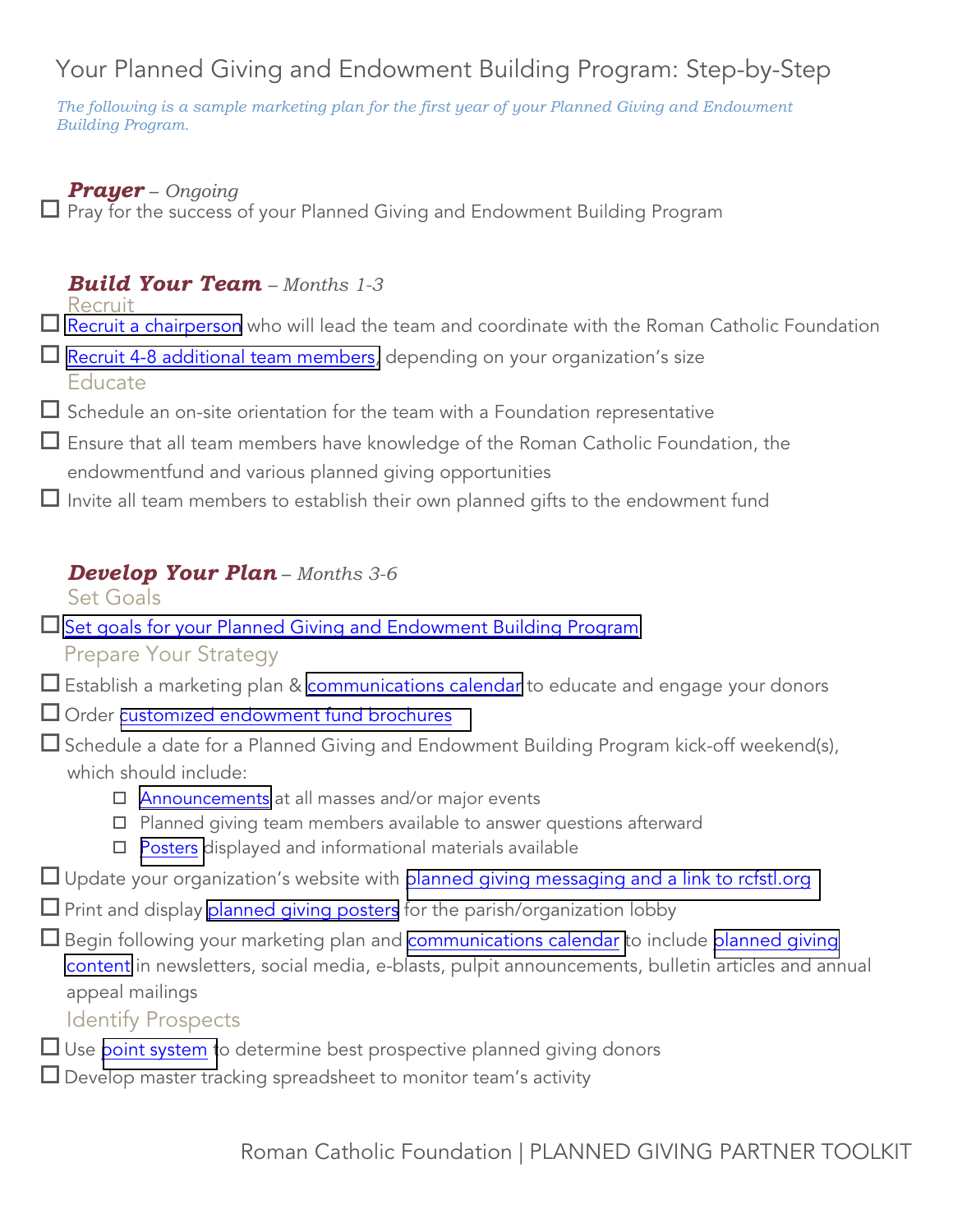# Your Planned Giving and Endowment Building Program: Step-by-Step

*The following is a sample marketing plan for the first year of your Planned Giving and Endowment Building Program.*

#### *Prayer* – *Ongoing*

 $\Box$  Pray for the success of your Planned Giving and Endowment Building Program

## *Build Your Team* – *Months 1-3*

Recruit

- $\Box$  [Recruit a chairperson](https://rcfstl.org/wp-content/uploads/2018/05/Toolkit-Recruit.pdf) who will lead the team and coordinate with the Roman Catholic Foundation
- $\Box$  [Recruit 4-8 additional](https://rcfstl.org/wp-content/uploads/2018/05/Toolkit-Recruit.pdf) team members, depending on your organization's size Educate
- $\Box$  Schedule an on-site orientation for the team with a Foundation representative
- Ensure that all team members have knowledge of the Roman Catholic Foundation, the endowmentfund and various planned giving opportunities
- $\Box$  Invite all team members to establish their own planned gifts to the endowment fund

### *Develop Your Plan* – *Months 3-6*

Set Goals

- □ Set goals for your Planned [Giving and Endowment](https://rcfstl.org/wp-content/uploads/2018/05/Toolkit-Setting-Goals.pdf) Building Program
	- Prepare Your Strategy
- $\square$  Establish a marketing plan & [communications](https://rcfstl.org/wp-content/uploads/2018/05/Toolkit-Annual-Communications-Plan.pdf) calendar to educate and engage your donors
- □ Order [customized endowment fund brochures](https://rcfstl.org/wp-content/uploads/2018/05/Toolkit-Customizable-Endowment-Fund-Brochure.pdf)
- $\Box$  Schedule a date for a Planned Giving and Endowment Building Program kick-off weekend(s), which should include:
	- $\Box$  [Announcements](https://rcfstl.org/wp-content/uploads/2018/05/Toolkit-Bulletin-Announcements.pdf) at all masses and/or major events
	- $\square$  Planned giving team members available to answer questions afterward
	- $\square$  [Posters](https://rcfstl.org/wp-content/uploads/2018/05/Toolkit-Ways-to-Support-Our-Fund.pdf) displayed and informational materials available
- $\Box$  Update your organization's website with [planned giving messaging](https://rcfstl.org/wp-content/uploads/2018/05/Toolkit-Website-Content.pdf) and a link to refstl.org
- $\square$  Print and display [planned giving](https://rcfstl.org/wp-content/uploads/2018/05/Toolkit-Ways-to-Support-Our-Fund.pdf) posters for the parish/organization lobby
- $\square$  Begin following your marketing plan and [communications calendar t](https://rcfstl.org/wp-content/uploads/2018/05/Toolkit-Annual-Communications-Plan.pdf)o include [planned giving](https://rcfstl.org/wp-content/uploads/2018/05/Toolkit-Bulletin-Announcements.pdf) [content](https://rcfstl.org/wp-content/uploads/2018/05/Toolkit-Bulletin-Announcements.pdf) in newsletters, social media, e-blasts, pulpit announcements, bulletin articles and annual appeal mailings
	- Identify Prospects
- $\Box$  Use point [system](https://rcfstl.org/wp-content/uploads/2018/05/Toolkit-Assessing-PG-Prospects.pdf) to determine best prospective planned giving donors
- $\Box$  Develop master tracking spreadsheet to monitor team's activity